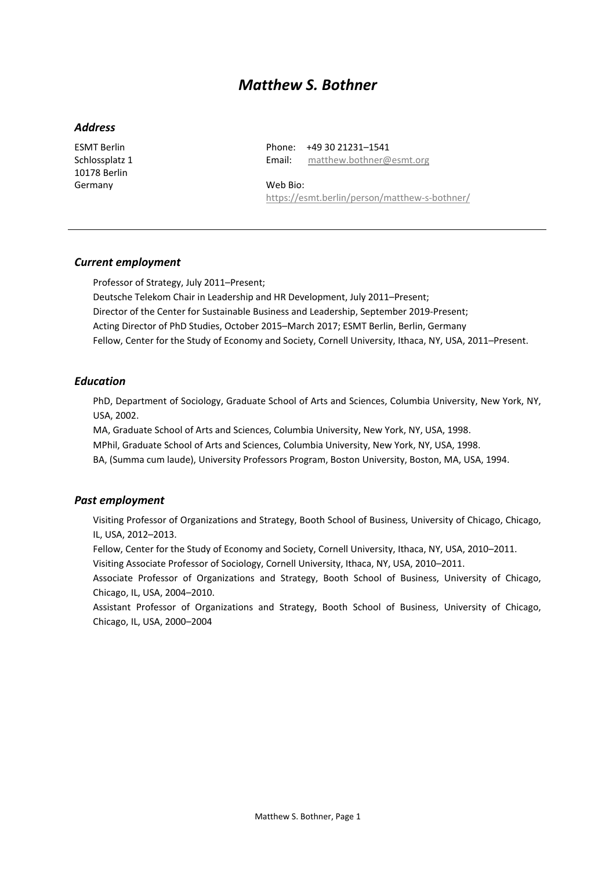# *Matthew S. Bothner*

## *Address*

ESMT Berlin Schlossplatz 1 10178 Berlin Germany

Phone: +49 30 21231–1541 Email: [matthew.bothner@esmt.org](mailto:matthew.bothner@esmt.org)

Web Bio: <https://esmt.berlin/person/matthew-s-bothner/>

## *Current employment*

Professor of Strategy, July 2011–Present; Deutsche Telekom Chair in Leadership and HR Development, July 2011–Present; Director of the Center for Sustainable Business and Leadership, September 2019-Present; Acting Director of PhD Studies, October 2015–March 2017; ESMT Berlin, Berlin, Germany Fellow, Center for the Study of Economy and Society, Cornell University, Ithaca, NY, USA, 2011–Present.

## *Education*

PhD, Department of Sociology, Graduate School of Arts and Sciences, Columbia University, New York, NY, USA, 2002.

MA, Graduate School of Arts and Sciences, Columbia University, New York, NY, USA, 1998.

MPhil, Graduate School of Arts and Sciences, Columbia University, New York, NY, USA, 1998.

BA, (Summa cum laude), University Professors Program, Boston University, Boston, MA, USA, 1994.

#### *Past employment*

Visiting Professor of Organizations and Strategy, Booth School of Business, University of Chicago, Chicago, IL, USA, 2012–2013.

Fellow, Center for the Study of Economy and Society, Cornell University, Ithaca, NY, USA, 2010–2011.

Visiting Associate Professor of Sociology, Cornell University, Ithaca, NY, USA, 2010–2011.

Associate Professor of Organizations and Strategy, Booth School of Business, University of Chicago, Chicago, IL, USA, 2004–2010.

Assistant Professor of Organizations and Strategy, Booth School of Business, University of Chicago, Chicago, IL, USA, 2000–2004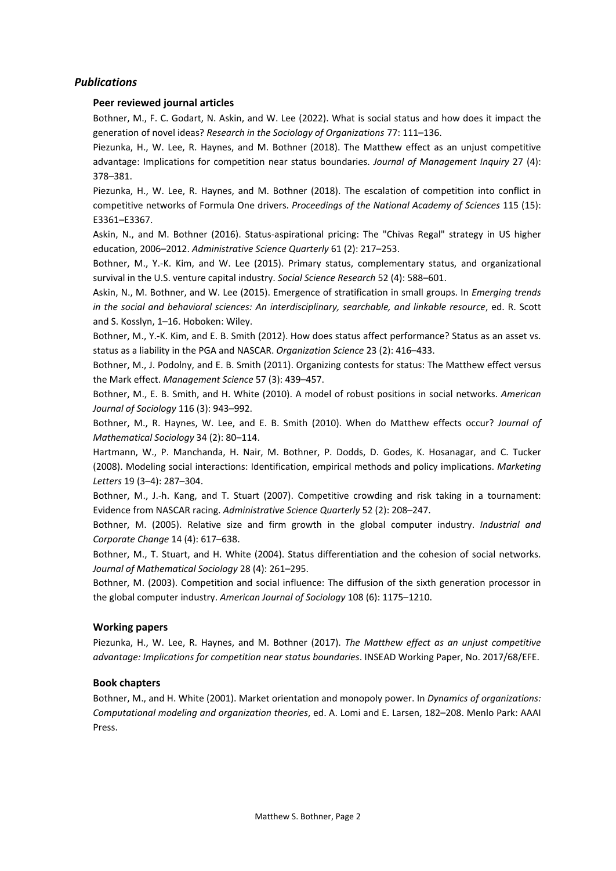# *Publications*

## **Peer reviewed journal articles**

Bothner, M., F. C. Godart, N. Askin, and W. Lee (2022). What is social status and how does it impact the generation of novel ideas? *Research in the Sociology of Organizations* 77: 111–136.

Piezunka, H., W. Lee, R. Haynes, and M. Bothner (2018). The Matthew effect as an unjust competitive advantage: Implications for competition near status boundaries. *Journal of Management Inquiry* 27 (4): 378–381.

Piezunka, H., W. Lee, R. Haynes, and M. Bothner (2018). The escalation of competition into conflict in competitive networks of Formula One drivers. *Proceedings of the National Academy of Sciences* 115 (15): E3361–E3367.

Askin, N., and M. Bothner (2016). Status-aspirational pricing: The "Chivas Regal" strategy in US higher education, 2006–2012. *Administrative Science Quarterly* 61 (2): 217–253.

Bothner, M., Y.-K. Kim, and W. Lee (2015). Primary status, complementary status, and organizational survival in the U.S. venture capital industry. *Social Science Research* 52 (4): 588–601.

Askin, N., M. Bothner, and W. Lee (2015). Emergence of stratification in small groups. In *Emerging trends in the social and behavioral sciences: An interdisciplinary, searchable, and linkable resource*, ed. R. Scott and S. Kosslyn, 1–16. Hoboken: Wiley.

Bothner, M., Y.-K. Kim, and E. B. Smith (2012). How does status affect performance? Status as an asset vs. status as a liability in the PGA and NASCAR. *Organization Science* 23 (2): 416–433.

Bothner, M., J. Podolny, and E. B. Smith (2011). Organizing contests for status: The Matthew effect versus the Mark effect. *Management Science* 57 (3): 439–457.

Bothner, M., E. B. Smith, and H. White (2010). A model of robust positions in social networks. *American Journal of Sociology* 116 (3): 943–992.

Bothner, M., R. Haynes, W. Lee, and E. B. Smith (2010). When do Matthew effects occur? *Journal of Mathematical Sociology* 34 (2): 80–114.

Hartmann, W., P. Manchanda, H. Nair, M. Bothner, P. Dodds, D. Godes, K. Hosanagar, and C. Tucker (2008). Modeling social interactions: Identification, empirical methods and policy implications. *Marketing Letters* 19 (3–4): 287–304.

Bothner, M., J.-h. Kang, and T. Stuart (2007). Competitive crowding and risk taking in a tournament: Evidence from NASCAR racing. *Administrative Science Quarterly* 52 (2): 208–247.

Bothner, M. (2005). Relative size and firm growth in the global computer industry. *Industrial and Corporate Change* 14 (4): 617–638.

Bothner, M., T. Stuart, and H. White (2004). Status differentiation and the cohesion of social networks. *Journal of Mathematical Sociology* 28 (4): 261–295.

Bothner, M. (2003). Competition and social influence: The diffusion of the sixth generation processor in the global computer industry. *American Journal of Sociology* 108 (6): 1175–1210.

## **Working papers**

Piezunka, H., W. Lee, R. Haynes, and M. Bothner (2017). *The Matthew effect as an unjust competitive advantage: Implications for competition near status boundaries*. INSEAD Working Paper, No. 2017/68/EFE.

#### **Book chapters**

Bothner, M., and H. White (2001). Market orientation and monopoly power. In *Dynamics of organizations: Computational modeling and organization theories*, ed. A. Lomi and E. Larsen, 182–208. Menlo Park: AAAI Press.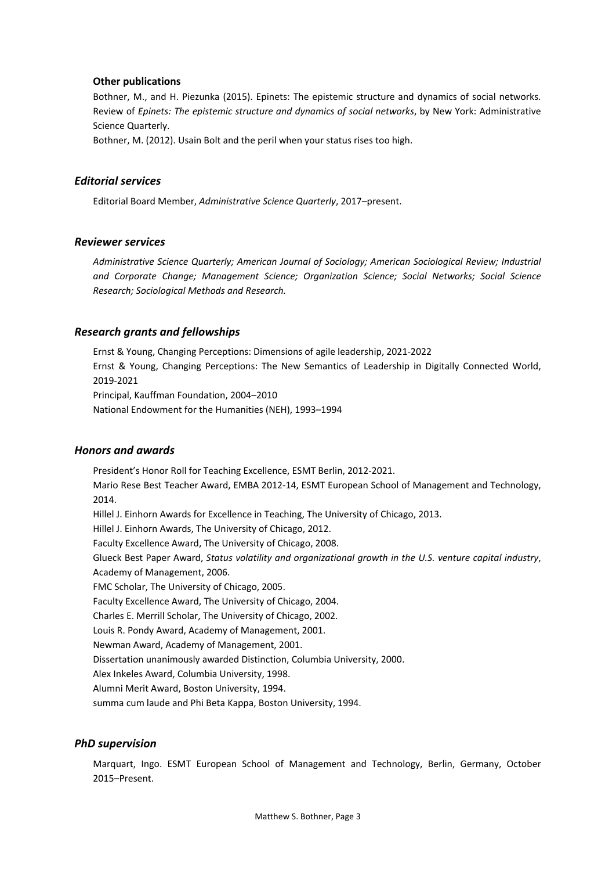#### **Other publications**

Bothner, M., and H. Piezunka (2015). Epinets: The epistemic structure and dynamics of social networks. Review of *Epinets: The epistemic structure and dynamics of social networks*, by New York: Administrative Science Quarterly.

Bothner, M. (2012). Usain Bolt and the peril when your status rises too high.

#### *Editorial services*

Editorial Board Member, *Administrative Science Quarterly*, 2017–present.

#### *Reviewer services*

*Administrative Science Quarterly; American Journal of Sociology; American Sociological Review; Industrial and Corporate Change; Management Science; Organization Science; Social Networks; Social Science Research; Sociological Methods and Research.*

#### *Research grants and fellowships*

Ernst & Young, Changing Perceptions: Dimensions of agile leadership, 2021-2022 Ernst & Young, Changing Perceptions: The New Semantics of Leadership in Digitally Connected World, 2019-2021 Principal, Kauffman Foundation, 2004–2010 National Endowment for the Humanities (NEH), 1993–1994

## *Honors and awards*

President's Honor Roll for Teaching Excellence, ESMT Berlin, 2012-2021. Mario Rese Best Teacher Award, EMBA 2012-14, ESMT European School of Management and Technology, 2014. Hillel J. Einhorn Awards for Excellence in Teaching, The University of Chicago, 2013. Hillel J. Einhorn Awards, The University of Chicago, 2012. Faculty Excellence Award, The University of Chicago, 2008. Glueck Best Paper Award, *Status volatility and organizational growth in the U.S. venture capital industry*, Academy of Management, 2006. FMC Scholar, The University of Chicago, 2005. Faculty Excellence Award, The University of Chicago, 2004. Charles E. Merrill Scholar, The University of Chicago, 2002. Louis R. Pondy Award, Academy of Management, 2001. Newman Award, Academy of Management, 2001. Dissertation unanimously awarded Distinction, Columbia University, 2000. Alex Inkeles Award, Columbia University, 1998. Alumni Merit Award, Boston University, 1994. summa cum laude and Phi Beta Kappa, Boston University, 1994.

#### *PhD supervision*

Marquart, Ingo. ESMT European School of Management and Technology, Berlin, Germany, October 2015–Present.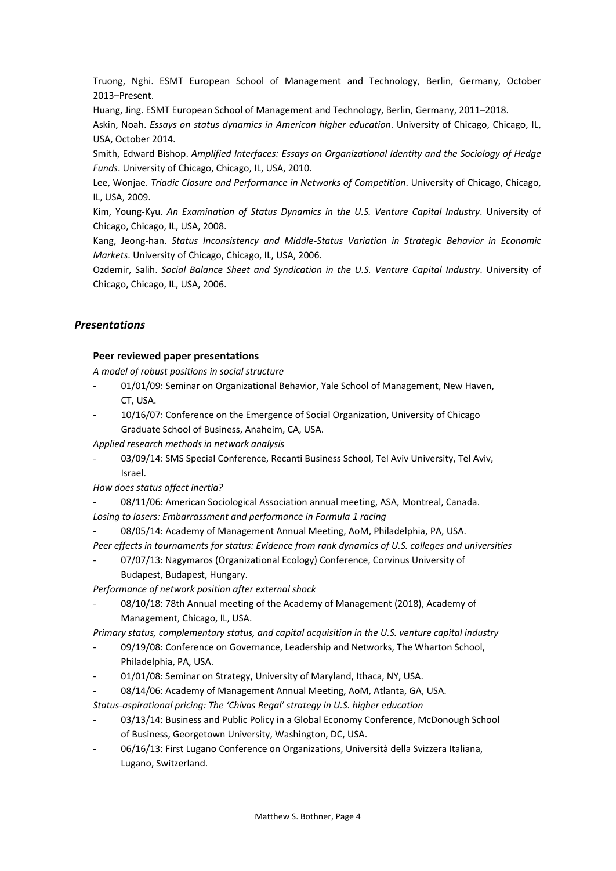Truong, Nghi. ESMT European School of Management and Technology, Berlin, Germany, October 2013–Present.

Huang, Jing. ESMT European School of Management and Technology, Berlin, Germany, 2011–2018.

Askin, Noah. *Essays on status dynamics in American higher education*. University of Chicago, Chicago, IL, USA, October 2014.

Smith, Edward Bishop. *Amplified Interfaces: Essays on Organizational Identity and the Sociology of Hedge Funds*. University of Chicago, Chicago, IL, USA, 2010.

Lee, Wonjae. *Triadic Closure and Performance in Networks of Competition*. University of Chicago, Chicago, IL, USA, 2009.

Kim, Young-Kyu. *An Examination of Status Dynamics in the U.S. Venture Capital Industry*. University of Chicago, Chicago, IL, USA, 2008.

Kang, Jeong-han. *Status Inconsistency and Middle-Status Variation in Strategic Behavior in Economic Markets*. University of Chicago, Chicago, IL, USA, 2006.

Ozdemir, Salih. *Social Balance Sheet and Syndication in the U.S. Venture Capital Industry*. University of Chicago, Chicago, IL, USA, 2006.

# *Presentations*

#### **Peer reviewed paper presentations**

*A model of robust positions in social structure*

- 01/01/09: Seminar on Organizational Behavior, Yale School of Management, New Haven, CT, USA.
- 10/16/07: Conference on the Emergence of Social Organization, University of Chicago Graduate School of Business, Anaheim, CA, USA.

*Applied research methods in network analysis*

03/09/14: SMS Special Conference, Recanti Business School, Tel Aviv University, Tel Aviv, Israel.

*How does status affect inertia?*

- 08/11/06: American Sociological Association annual meeting, ASA, Montreal, Canada. *Losing to losers: Embarrassment and performance in Formula 1 racing*
- 08/05/14: Academy of Management Annual Meeting, AoM, Philadelphia, PA, USA.

*Peer effects in tournaments for status: Evidence from rank dynamics of U.S. colleges and universities*

07/07/13: Nagymaros (Organizational Ecology) Conference, Corvinus University of Budapest, Budapest, Hungary.

*Performance of network position after external shock*

08/10/18: 78th Annual meeting of the Academy of Management (2018), Academy of Management, Chicago, IL, USA.

*Primary status, complementary status, and capital acquisition in the U.S. venture capital industry*

- 09/19/08: Conference on Governance, Leadership and Networks, The Wharton School, Philadelphia, PA, USA.
- 01/01/08: Seminar on Strategy, University of Maryland, Ithaca, NY, USA.
- 08/14/06: Academy of Management Annual Meeting, AoM, Atlanta, GA, USA.

*Status-aspirational pricing: The 'Chivas Regal' strategy in U.S. higher education*

- 03/13/14: Business and Public Policy in a Global Economy Conference, McDonough School of Business, Georgetown University, Washington, DC, USA.
- 06/16/13: First Lugano Conference on Organizations, Università della Svizzera Italiana, Lugano, Switzerland.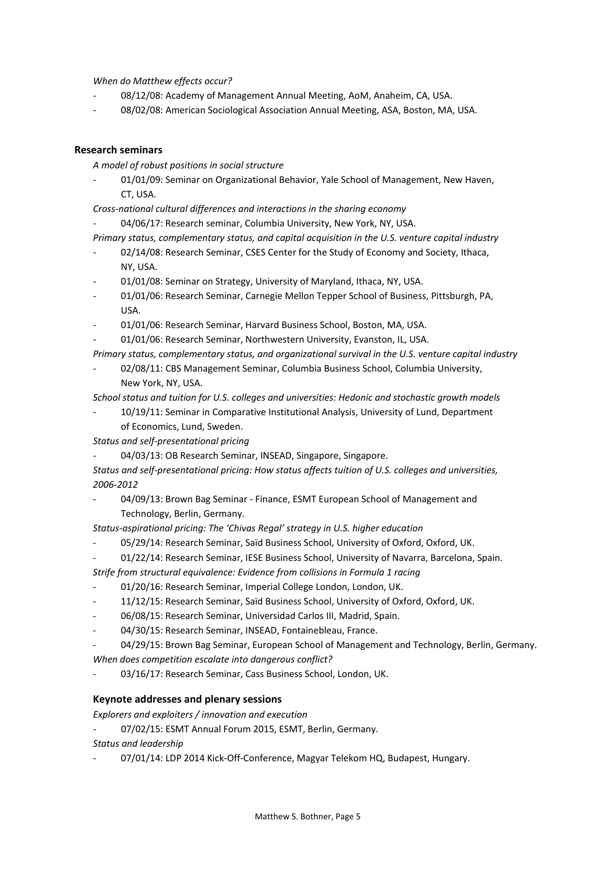*When do Matthew effects occur?*

- 08/12/08: Academy of Management Annual Meeting, AoM, Anaheim, CA, USA.
- 08/02/08: American Sociological Association Annual Meeting, ASA, Boston, MA, USA.

## **Research seminars**

*A model of robust positions in social structure*

- 01/01/09: Seminar on Organizational Behavior, Yale School of Management, New Haven, CT, USA.

*Cross-national cultural differences and interactions in the sharing economy*

04/06/17: Research seminar, Columbia University, New York, NY, USA.

*Primary status, complementary status, and capital acquisition in the U.S. venture capital industry*

- 02/14/08: Research Seminar, CSES Center for the Study of Economy and Society, Ithaca, NY, USA.
- 01/01/08: Seminar on Strategy, University of Maryland, Ithaca, NY, USA.
- 01/01/06: Research Seminar, Carnegie Mellon Tepper School of Business, Pittsburgh, PA, USA.
- 01/01/06: Research Seminar, Harvard Business School, Boston, MA, USA.
- 01/01/06: Research Seminar, Northwestern University, Evanston, IL, USA.

*Primary status, complementary status, and organizational survival in the U.S. venture capital industry*

02/08/11: CBS Management Seminar, Columbia Business School, Columbia University, New York, NY, USA.

*School status and tuition for U.S. colleges and universities: Hedonic and stochastic growth models*

10/19/11: Seminar in Comparative Institutional Analysis, University of Lund, Department of Economics, Lund, Sweden.

*Status and self-presentational pricing*

04/03/13: OB Research Seminar, INSEAD, Singapore, Singapore.

*Status and self-presentational pricing: How status affects tuition of U.S. colleges and universities, 2006-2012*

- 04/09/13: Brown Bag Seminar - Finance, ESMT European School of Management and Technology, Berlin, Germany.

*Status-aspirational pricing: The 'Chivas Regal' strategy in U.S. higher education*

- 05/29/14: Research Seminar, Saïd Business School, University of Oxford, Oxford, UK.
- 01/22/14: Research Seminar, IESE Business School, University of Navarra, Barcelona, Spain.

*Strife from structural equivalence: Evidence from collisions in Formula 1 racing*

- 01/20/16: Research Seminar, Imperial College London, London, UK.
- 11/12/15: Research Seminar, Saïd Business School, University of Oxford, Oxford, UK.
- 06/08/15: Research Seminar, Universidad Carlos III, Madrid, Spain.
- 04/30/15: Research Seminar, INSEAD, Fontainebleau, France.

04/29/15: Brown Bag Seminar, European School of Management and Technology, Berlin, Germany. *When does competition escalate into dangerous conflict?*

03/16/17: Research Seminar, Cass Business School, London, UK.

## **Keynote addresses and plenary sessions**

*Explorers and exploiters / innovation and execution*

- 07/02/15: ESMT Annual Forum 2015, ESMT, Berlin, Germany.

*Status and leadership*

- 07/01/14: LDP 2014 Kick-Off-Conference, Magyar Telekom HQ, Budapest, Hungary.